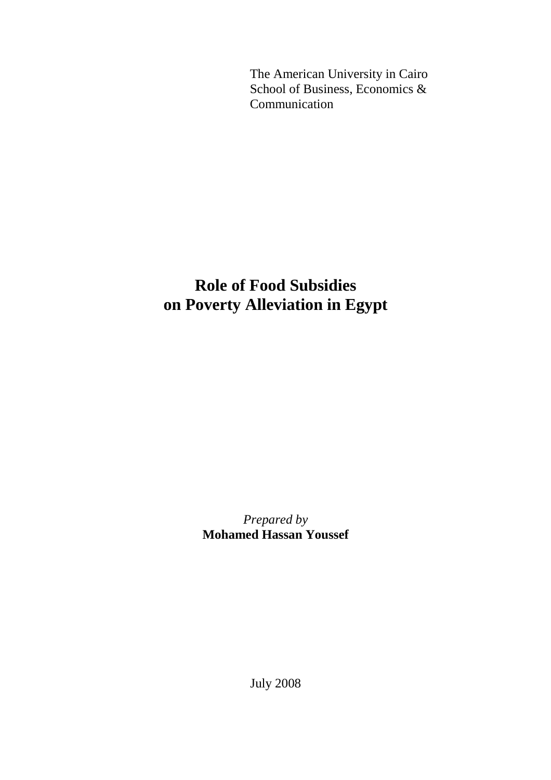The American University in Cairo School of Business, Economics & Communication

# **Role of Food Subsidies on Poverty Alleviation in Egypt**

*Prepared by*  **Mohamed Hassan Youssef** 

July 2008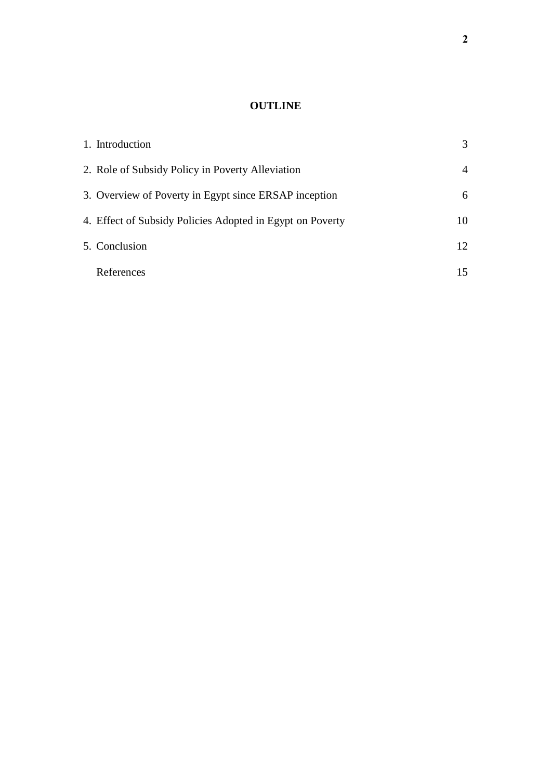## **OUTLINE**

| 1. Introduction                                           | 3  |
|-----------------------------------------------------------|----|
| 2. Role of Subsidy Policy in Poverty Alleviation          | 4  |
| 3. Overview of Poverty in Egypt since ERSAP inception     | 6  |
| 4. Effect of Subsidy Policies Adopted in Egypt on Poverty | 10 |
| 5. Conclusion                                             | 12 |
| References                                                | 15 |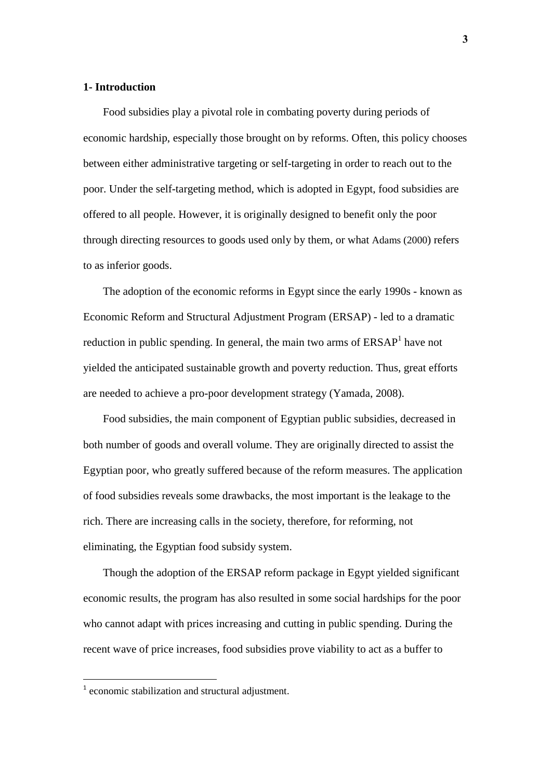#### **1- Introduction**

Food subsidies play a pivotal role in combating poverty during periods of economic hardship, especially those brought on by reforms. Often, this policy chooses between either administrative targeting or self-targeting in order to reach out to the poor. Under the self-targeting method, which is adopted in Egypt, food subsidies are offered to all people. However, it is originally designed to benefit only the poor through directing resources to goods used only by them, or what Adams (2000) refers to as inferior goods.

The adoption of the economic reforms in Egypt since the early 1990s - known as Economic Reform and Structural Adjustment Program (ERSAP) - led to a dramatic reduction in public spending. In general, the main two arms of  $ERSAP<sup>1</sup>$  have not yielded the anticipated sustainable growth and poverty reduction. Thus, great efforts are needed to achieve a pro-poor development strategy (Yamada, 2008).

Food subsidies, the main component of Egyptian public subsidies, decreased in both number of goods and overall volume. They are originally directed to assist the Egyptian poor, who greatly suffered because of the reform measures. The application of food subsidies reveals some drawbacks, the most important is the leakage to the rich. There are increasing calls in the society, therefore, for reforming, not eliminating, the Egyptian food subsidy system.

Though the adoption of the ERSAP reform package in Egypt yielded significant economic results, the program has also resulted in some social hardships for the poor who cannot adapt with prices increasing and cutting in public spending. During the recent wave of price increases, food subsidies prove viability to act as a buffer to

 $\overline{a}$ 

<sup>&</sup>lt;sup>1</sup> economic stabilization and structural adjustment.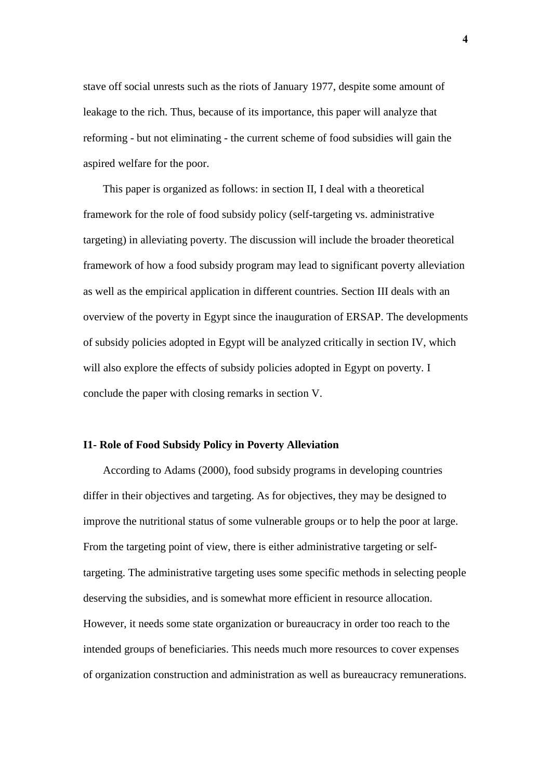stave off social unrests such as the riots of January 1977, despite some amount of leakage to the rich. Thus, because of its importance, this paper will analyze that reforming - but not eliminating - the current scheme of food subsidies will gain the aspired welfare for the poor.

This paper is organized as follows: in section II, I deal with a theoretical framework for the role of food subsidy policy (self-targeting vs. administrative targeting) in alleviating poverty. The discussion will include the broader theoretical framework of how a food subsidy program may lead to significant poverty alleviation as well as the empirical application in different countries. Section III deals with an overview of the poverty in Egypt since the inauguration of ERSAP. The developments of subsidy policies adopted in Egypt will be analyzed critically in section IV, which will also explore the effects of subsidy policies adopted in Egypt on poverty. I conclude the paper with closing remarks in section V.

#### **I1- Role of Food Subsidy Policy in Poverty Alleviation**

According to Adams (2000), food subsidy programs in developing countries differ in their objectives and targeting. As for objectives, they may be designed to improve the nutritional status of some vulnerable groups or to help the poor at large. From the targeting point of view, there is either administrative targeting or selftargeting. The administrative targeting uses some specific methods in selecting people deserving the subsidies, and is somewhat more efficient in resource allocation. However, it needs some state organization or bureaucracy in order too reach to the intended groups of beneficiaries. This needs much more resources to cover expenses of organization construction and administration as well as bureaucracy remunerations.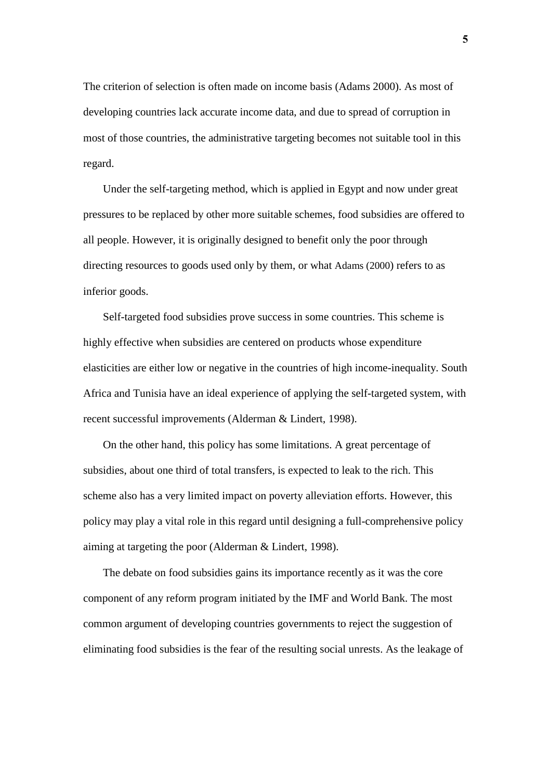The criterion of selection is often made on income basis (Adams 2000). As most of developing countries lack accurate income data, and due to spread of corruption in most of those countries, the administrative targeting becomes not suitable tool in this regard.

Under the self-targeting method, which is applied in Egypt and now under great pressures to be replaced by other more suitable schemes, food subsidies are offered to all people. However, it is originally designed to benefit only the poor through directing resources to goods used only by them, or what Adams (2000) refers to as inferior goods.

Self-targeted food subsidies prove success in some countries. This scheme is highly effective when subsidies are centered on products whose expenditure elasticities are either low or negative in the countries of high income-inequality. South Africa and Tunisia have an ideal experience of applying the self-targeted system, with recent successful improvements (Alderman & Lindert, 1998).

On the other hand, this policy has some limitations. A great percentage of subsidies, about one third of total transfers, is expected to leak to the rich. This scheme also has a very limited impact on poverty alleviation efforts. However, this policy may play a vital role in this regard until designing a full-comprehensive policy aiming at targeting the poor (Alderman & Lindert, 1998).

The debate on food subsidies gains its importance recently as it was the core component of any reform program initiated by the IMF and World Bank. The most common argument of developing countries governments to reject the suggestion of eliminating food subsidies is the fear of the resulting social unrests. As the leakage of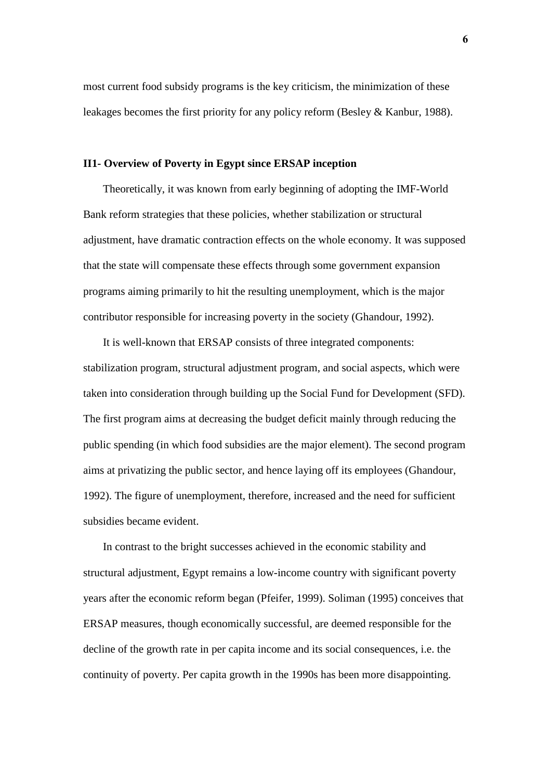most current food subsidy programs is the key criticism, the minimization of these leakages becomes the first priority for any policy reform (Besley & Kanbur, 1988).

#### **II1- Overview of Poverty in Egypt since ERSAP inception**

Theoretically, it was known from early beginning of adopting the IMF-World Bank reform strategies that these policies, whether stabilization or structural adjustment, have dramatic contraction effects on the whole economy. It was supposed that the state will compensate these effects through some government expansion programs aiming primarily to hit the resulting unemployment, which is the major contributor responsible for increasing poverty in the society (Ghandour, 1992).

It is well-known that ERSAP consists of three integrated components: stabilization program, structural adjustment program, and social aspects, which were taken into consideration through building up the Social Fund for Development (SFD). The first program aims at decreasing the budget deficit mainly through reducing the public spending (in which food subsidies are the major element). The second program aims at privatizing the public sector, and hence laying off its employees (Ghandour, 1992). The figure of unemployment, therefore, increased and the need for sufficient subsidies became evident.

In contrast to the bright successes achieved in the economic stability and structural adjustment, Egypt remains a low-income country with significant poverty years after the economic reform began (Pfeifer, 1999). Soliman (1995) conceives that ERSAP measures, though economically successful, are deemed responsible for the decline of the growth rate in per capita income and its social consequences, i.e. the continuity of poverty. Per capita growth in the 1990s has been more disappointing.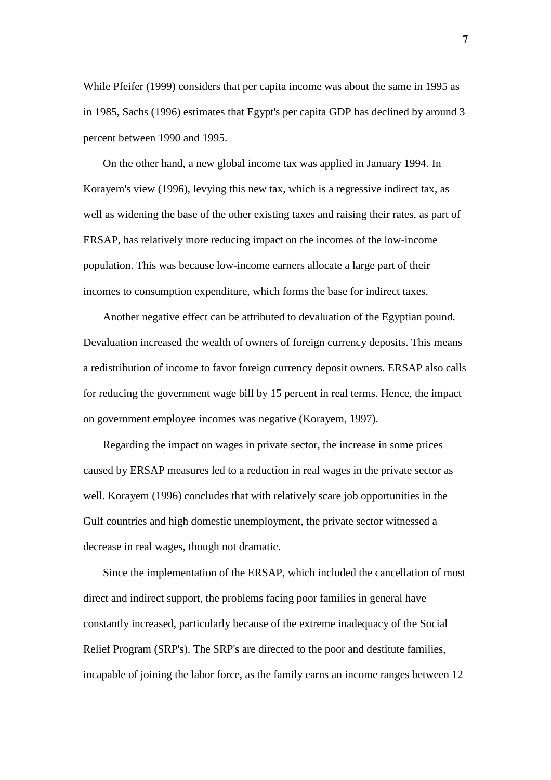While Pfeifer (1999) considers that per capita income was about the same in 1995 as in 1985, Sachs (1996) estimates that Egypt's per capita GDP has declined by around 3 percent between 1990 and 1995.

On the other hand, a new global income tax was applied in January 1994. In Korayem's view (1996), levying this new tax, which is a regressive indirect tax, as well as widening the base of the other existing taxes and raising their rates, as part of ERSAP, has relatively more reducing impact on the incomes of the low-income population. This was because low-income earners allocate a large part of their incomes to consumption expenditure, which forms the base for indirect taxes.

Another negative effect can be attributed to devaluation of the Egyptian pound. Devaluation increased the wealth of owners of foreign currency deposits. This means a redistribution of income to favor foreign currency deposit owners. ERSAP also calls for reducing the government wage bill by 15 percent in real terms. Hence, the impact on government employee incomes was negative (Korayem, 1997).

Regarding the impact on wages in private sector, the increase in some prices caused by ERSAP measures led to a reduction in real wages in the private sector as well. Korayem (1996) concludes that with relatively scare job opportunities in the Gulf countries and high domestic unemployment, the private sector witnessed a decrease in real wages, though not dramatic.

Since the implementation of the ERSAP, which included the cancellation of most direct and indirect support, the problems facing poor families in general have constantly increased, particularly because of the extreme inadequacy of the Social Relief Program (SRP's). The SRP's are directed to the poor and destitute families, incapable of joining the labor force, as the family earns an income ranges between 12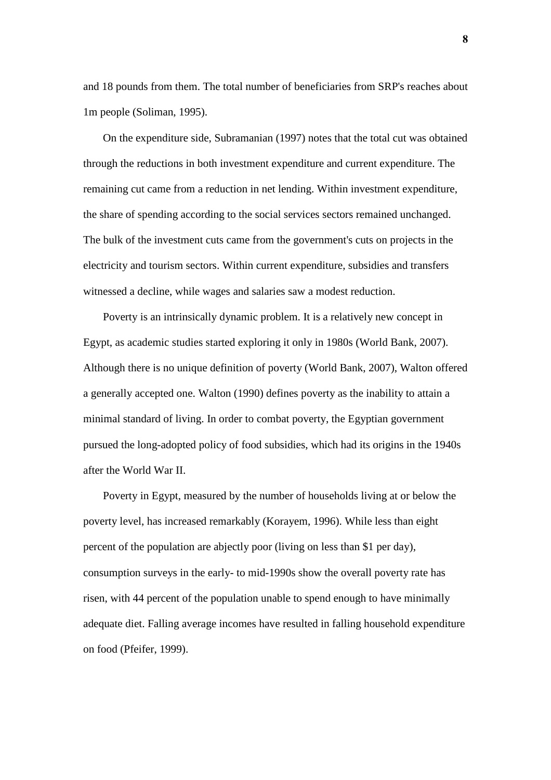and 18 pounds from them. The total number of beneficiaries from SRP's reaches about 1m people (Soliman, 1995).

On the expenditure side, Subramanian (1997) notes that the total cut was obtained through the reductions in both investment expenditure and current expenditure. The remaining cut came from a reduction in net lending. Within investment expenditure, the share of spending according to the social services sectors remained unchanged. The bulk of the investment cuts came from the government's cuts on projects in the electricity and tourism sectors. Within current expenditure, subsidies and transfers witnessed a decline, while wages and salaries saw a modest reduction.

Poverty is an intrinsically dynamic problem. It is a relatively new concept in Egypt, as academic studies started exploring it only in 1980s (World Bank, 2007). Although there is no unique definition of poverty (World Bank, 2007), Walton offered a generally accepted one. Walton (1990) defines poverty as the inability to attain a minimal standard of living. In order to combat poverty, the Egyptian government pursued the long-adopted policy of food subsidies, which had its origins in the 1940s after the World War II.

Poverty in Egypt, measured by the number of households living at or below the poverty level, has increased remarkably (Korayem, 1996). While less than eight percent of the population are abjectly poor (living on less than \$1 per day), consumption surveys in the early- to mid-1990s show the overall poverty rate has risen, with 44 percent of the population unable to spend enough to have minimally adequate diet. Falling average incomes have resulted in falling household expenditure on food (Pfeifer, 1999).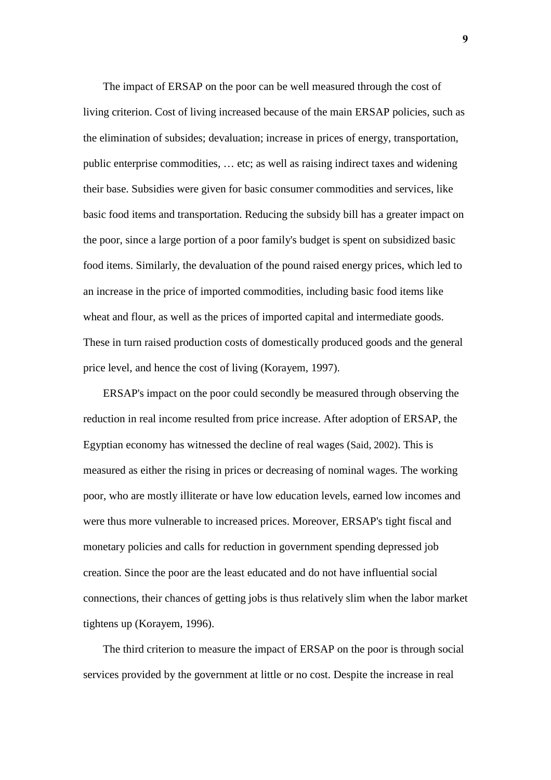The impact of ERSAP on the poor can be well measured through the cost of living criterion. Cost of living increased because of the main ERSAP policies, such as the elimination of subsides; devaluation; increase in prices of energy, transportation, public enterprise commodities, … etc; as well as raising indirect taxes and widening their base. Subsidies were given for basic consumer commodities and services, like basic food items and transportation. Reducing the subsidy bill has a greater impact on the poor, since a large portion of a poor family's budget is spent on subsidized basic food items. Similarly, the devaluation of the pound raised energy prices, which led to an increase in the price of imported commodities, including basic food items like wheat and flour, as well as the prices of imported capital and intermediate goods. These in turn raised production costs of domestically produced goods and the general price level, and hence the cost of living (Korayem, 1997).

ERSAP's impact on the poor could secondly be measured through observing the reduction in real income resulted from price increase. After adoption of ERSAP, the Egyptian economy has witnessed the decline of real wages (Said, 2002). This is measured as either the rising in prices or decreasing of nominal wages. The working poor, who are mostly illiterate or have low education levels, earned low incomes and were thus more vulnerable to increased prices. Moreover, ERSAP's tight fiscal and monetary policies and calls for reduction in government spending depressed job creation. Since the poor are the least educated and do not have influential social connections, their chances of getting jobs is thus relatively slim when the labor market tightens up (Korayem, 1996).

The third criterion to measure the impact of ERSAP on the poor is through social services provided by the government at little or no cost. Despite the increase in real

**9**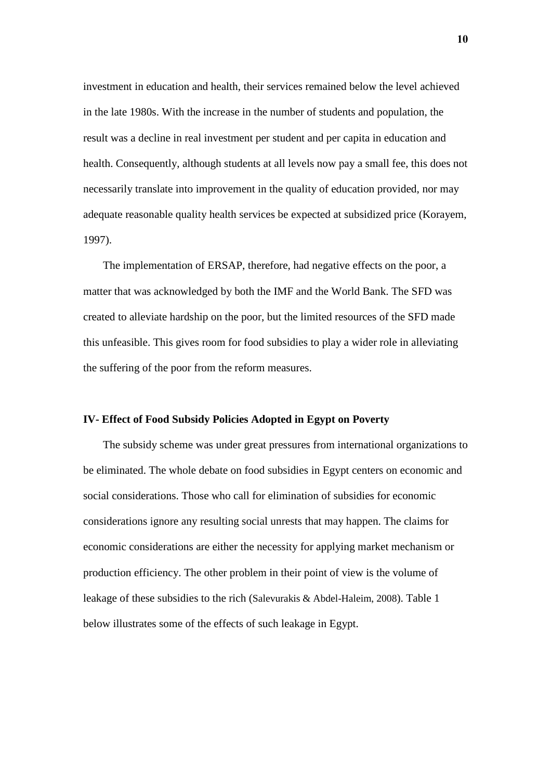investment in education and health, their services remained below the level achieved in the late 1980s. With the increase in the number of students and population, the result was a decline in real investment per student and per capita in education and health. Consequently, although students at all levels now pay a small fee, this does not necessarily translate into improvement in the quality of education provided, nor may adequate reasonable quality health services be expected at subsidized price (Korayem, 1997).

The implementation of ERSAP, therefore, had negative effects on the poor, a matter that was acknowledged by both the IMF and the World Bank. The SFD was created to alleviate hardship on the poor, but the limited resources of the SFD made this unfeasible. This gives room for food subsidies to play a wider role in alleviating the suffering of the poor from the reform measures.

#### **IV- Effect of Food Subsidy Policies Adopted in Egypt on Poverty**

The subsidy scheme was under great pressures from international organizations to be eliminated. The whole debate on food subsidies in Egypt centers on economic and social considerations. Those who call for elimination of subsidies for economic considerations ignore any resulting social unrests that may happen. The claims for economic considerations are either the necessity for applying market mechanism or production efficiency. The other problem in their point of view is the volume of leakage of these subsidies to the rich (Salevurakis & Abdel-Haleim, 2008). Table 1 below illustrates some of the effects of such leakage in Egypt.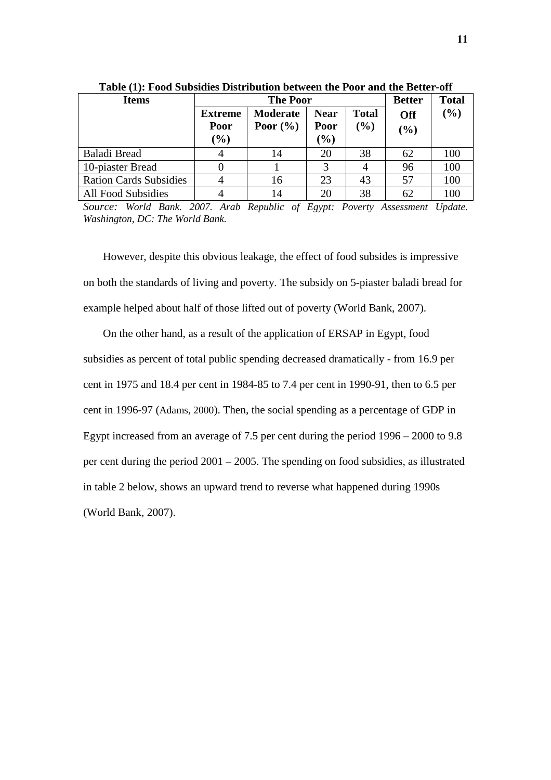| <b>Items</b>                  | <b>The Poor</b>                         |                                 |                               |                        | <b>Better</b>     | <b>Total</b> |
|-------------------------------|-----------------------------------------|---------------------------------|-------------------------------|------------------------|-------------------|--------------|
|                               | <b>Extreme</b><br><b>Poor</b><br>$(\%)$ | <b>Moderate</b><br>Poor $(\% )$ | <b>Near</b><br>Poor<br>$(\%)$ | <b>Total</b><br>$(\%)$ | <b>Off</b><br>(%) | $(\%)$       |
| <b>Baladi Bread</b>           |                                         | 14                              | 20                            | 38                     | 62                | 100          |
| 10-piaster Bread              |                                         |                                 | 3                             | 4                      | 96                | 100          |
| <b>Ration Cards Subsidies</b> |                                         | 16                              | 23                            | 43                     | 57                | 100          |
| <b>All Food Subsidies</b>     |                                         | 14                              | 20                            | 38                     | 62                | 100          |

**Table (1): Food Subsidies Distribution between the Poor and the Better-off** 

*Source: World Bank. 2007. Arab Republic of Egypt: Poverty Assessment Update. Washington, DC: The World Bank.* 

However, despite this obvious leakage, the effect of food subsides is impressive on both the standards of living and poverty. The subsidy on 5-piaster baladi bread for example helped about half of those lifted out of poverty (World Bank, 2007).

On the other hand, as a result of the application of ERSAP in Egypt, food subsidies as percent of total public spending decreased dramatically - from 16.9 per cent in 1975 and 18.4 per cent in 1984-85 to 7.4 per cent in 1990-91, then to 6.5 per cent in 1996-97 (Adams, 2000). Then, the social spending as a percentage of GDP in Egypt increased from an average of 7.5 per cent during the period 1996 – 2000 to 9.8 per cent during the period 2001 – 2005. The spending on food subsidies, as illustrated in table 2 below, shows an upward trend to reverse what happened during 1990s (World Bank, 2007).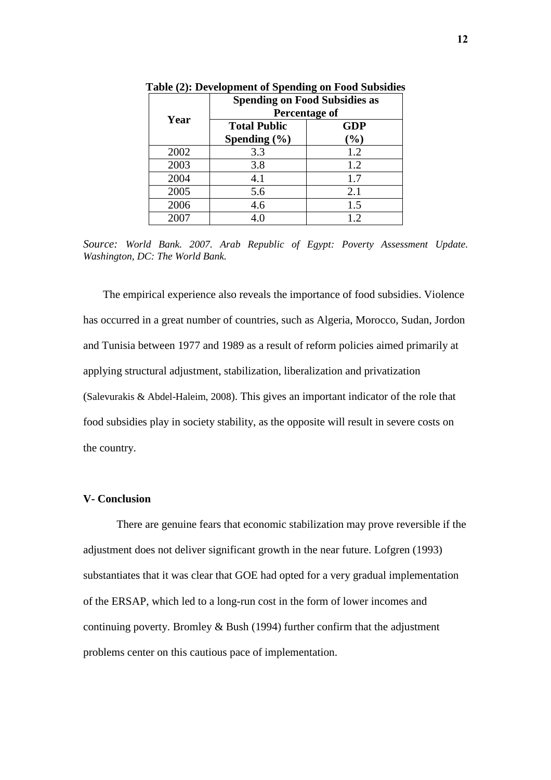|      | <b>Spending on Food Subsidies as</b><br>Percentage of |                   |  |  |
|------|-------------------------------------------------------|-------------------|--|--|
| Year | <b>Total Public</b><br>Spending $(\% )$               | <b>GDP</b><br>(%) |  |  |
| 2002 | 3.3                                                   | 1.2               |  |  |
| 2003 | 3.8                                                   | 1.2               |  |  |
| 2004 | 4.1                                                   | 1.7               |  |  |
| 2005 | 5.6                                                   | 2.1               |  |  |
| 2006 | 4.6                                                   | 1.5               |  |  |
| 2007 | 4 0                                                   | 1.2               |  |  |

**Table (2): Development of Spending on Food Subsidies** 

*Source: World Bank. 2007. Arab Republic of Egypt: Poverty Assessment Update. Washington, DC: The World Bank.* 

The empirical experience also reveals the importance of food subsidies. Violence has occurred in a great number of countries, such as Algeria, Morocco, Sudan, Jordon and Tunisia between 1977 and 1989 as a result of reform policies aimed primarily at applying structural adjustment, stabilization, liberalization and privatization (Salevurakis & Abdel-Haleim, 2008). This gives an important indicator of the role that food subsidies play in society stability, as the opposite will result in severe costs on the country.

#### **V- Conclusion**

 There are genuine fears that economic stabilization may prove reversible if the adjustment does not deliver significant growth in the near future. Lofgren (1993) substantiates that it was clear that GOE had opted for a very gradual implementation of the ERSAP, which led to a long-run cost in the form of lower incomes and continuing poverty. Bromley & Bush (1994) further confirm that the adjustment problems center on this cautious pace of implementation.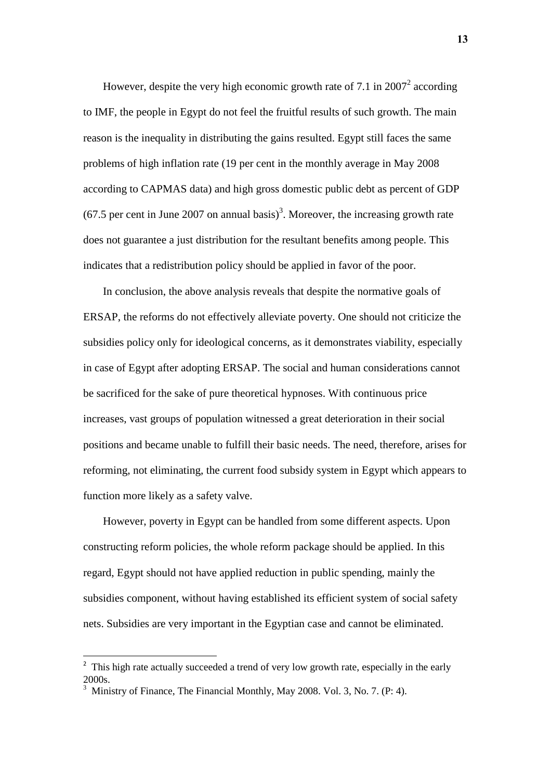However, despite the very high economic growth rate of 7.1 in  $2007^2$  according to IMF, the people in Egypt do not feel the fruitful results of such growth. The main reason is the inequality in distributing the gains resulted. Egypt still faces the same problems of high inflation rate (19 per cent in the monthly average in May 2008 according to CAPMAS data) and high gross domestic public debt as percent of GDP  $(67.5$  per cent in June 2007 on annual basis)<sup>3</sup>. Moreover, the increasing growth rate does not guarantee a just distribution for the resultant benefits among people. This indicates that a redistribution policy should be applied in favor of the poor.

In conclusion, the above analysis reveals that despite the normative goals of ERSAP, the reforms do not effectively alleviate poverty. One should not criticize the subsidies policy only for ideological concerns, as it demonstrates viability, especially in case of Egypt after adopting ERSAP. The social and human considerations cannot be sacrificed for the sake of pure theoretical hypnoses. With continuous price increases, vast groups of population witnessed a great deterioration in their social positions and became unable to fulfill their basic needs. The need, therefore, arises for reforming, not eliminating, the current food subsidy system in Egypt which appears to function more likely as a safety valve.

However, poverty in Egypt can be handled from some different aspects. Upon constructing reform policies, the whole reform package should be applied. In this regard, Egypt should not have applied reduction in public spending, mainly the subsidies component, without having established its efficient system of social safety nets. Subsidies are very important in the Egyptian case and cannot be eliminated.

l

<sup>&</sup>lt;sup>2</sup> This high rate actually succeeded a trend of very low growth rate, especially in the early 2000s.

<sup>3</sup> Ministry of Finance, The Financial Monthly, May 2008. Vol. 3, No. 7. (P: 4).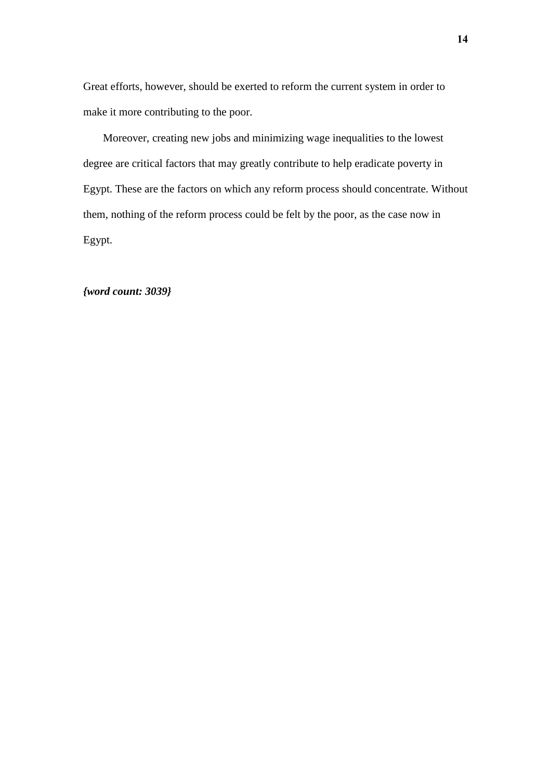Great efforts, however, should be exerted to reform the current system in order to make it more contributing to the poor.

Moreover, creating new jobs and minimizing wage inequalities to the lowest degree are critical factors that may greatly contribute to help eradicate poverty in Egypt. These are the factors on which any reform process should concentrate. Without them, nothing of the reform process could be felt by the poor, as the case now in Egypt.

### *{word count: 3039}*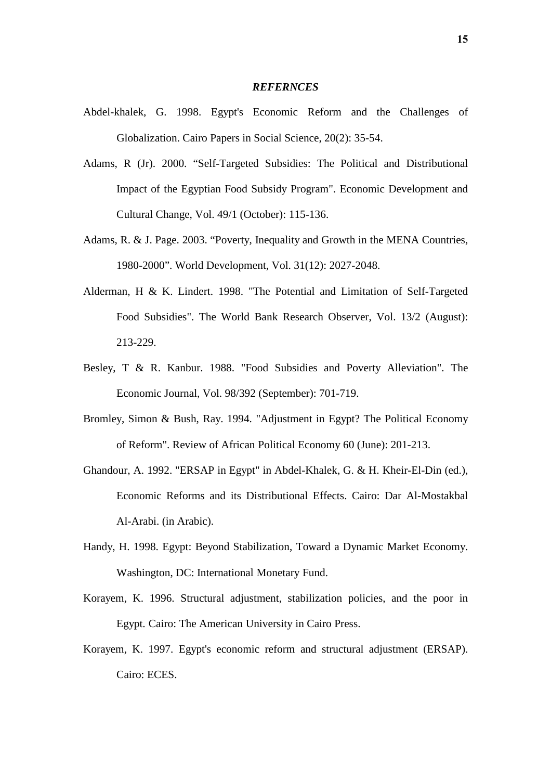#### *REFERNCES*

- Abdel-khalek, G. 1998. Egypt's Economic Reform and the Challenges of Globalization. Cairo Papers in Social Science, 20(2): 35-54.
- Adams, R (Jr). 2000. "Self-Targeted Subsidies: The Political and Distributional Impact of the Egyptian Food Subsidy Program". Economic Development and Cultural Change, Vol. 49/1 (October): 115-136.
- Adams, R. & J. Page. 2003. "Poverty, Inequality and Growth in the MENA Countries, 1980-2000". World Development, Vol. 31(12): 2027-2048.
- Alderman, H & K. Lindert. 1998. "The Potential and Limitation of Self-Targeted Food Subsidies". The World Bank Research Observer, Vol. 13/2 (August): 213-229.
- Besley, T & R. Kanbur. 1988. "Food Subsidies and Poverty Alleviation". The Economic Journal, Vol. 98/392 (September): 701-719.
- Bromley, Simon & Bush, Ray. 1994. "Adjustment in Egypt? The Political Economy of Reform". Review of African Political Economy 60 (June): 201-213.
- Ghandour, A. 1992. "ERSAP in Egypt" in Abdel-Khalek, G. & H. Kheir-El-Din (ed.), Economic Reforms and its Distributional Effects. Cairo: Dar Al-Mostakbal Al-Arabi. (in Arabic).
- Handy, H. 1998. Egypt: Beyond Stabilization, Toward a Dynamic Market Economy. Washington, DC: International Monetary Fund.
- Korayem, K. 1996. Structural adjustment, stabilization policies, and the poor in Egypt. Cairo: The American University in Cairo Press.
- Korayem, K. 1997. Egypt's economic reform and structural adjustment (ERSAP). Cairo: ECES.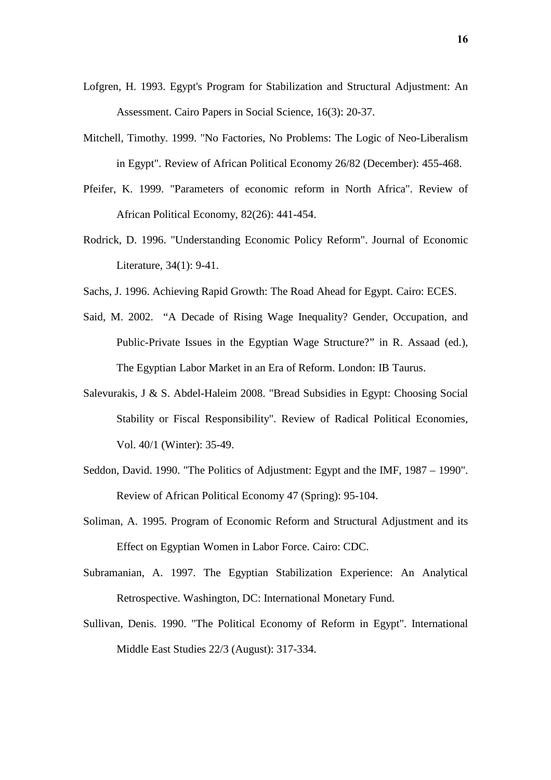- Lofgren, H. 1993. Egypt's Program for Stabilization and Structural Adjustment: An Assessment. Cairo Papers in Social Science, 16(3): 20-37.
- Mitchell, Timothy. 1999. "No Factories, No Problems: The Logic of Neo-Liberalism in Egypt". Review of African Political Economy 26/82 (December): 455-468.
- Pfeifer, K. 1999. "Parameters of economic reform in North Africa". Review of African Political Economy, 82(26): 441-454.
- Rodrick, D. 1996. "Understanding Economic Policy Reform". Journal of Economic Literature, 34(1): 9-41.
- Sachs, J. 1996. Achieving Rapid Growth: The Road Ahead for Egypt. Cairo: ECES.
- Said, M. 2002. "A Decade of Rising Wage Inequality? Gender, Occupation, and Public-Private Issues in the Egyptian Wage Structure?" in R. Assaad (ed.), The Egyptian Labor Market in an Era of Reform. London: IB Taurus.
- Salevurakis, J & S. Abdel-Haleim 2008. "Bread Subsidies in Egypt: Choosing Social Stability or Fiscal Responsibility". Review of Radical Political Economies, Vol. 40/1 (Winter): 35-49.
- Seddon, David. 1990. "The Politics of Adjustment: Egypt and the IMF, 1987 1990". Review of African Political Economy 47 (Spring): 95-104.
- Soliman, A. 1995. Program of Economic Reform and Structural Adjustment and its Effect on Egyptian Women in Labor Force. Cairo: CDC.
- Subramanian, A. 1997. The Egyptian Stabilization Experience: An Analytical Retrospective. Washington, DC: International Monetary Fund.
- Sullivan, Denis. 1990. "The Political Economy of Reform in Egypt". International Middle East Studies 22/3 (August): 317-334.